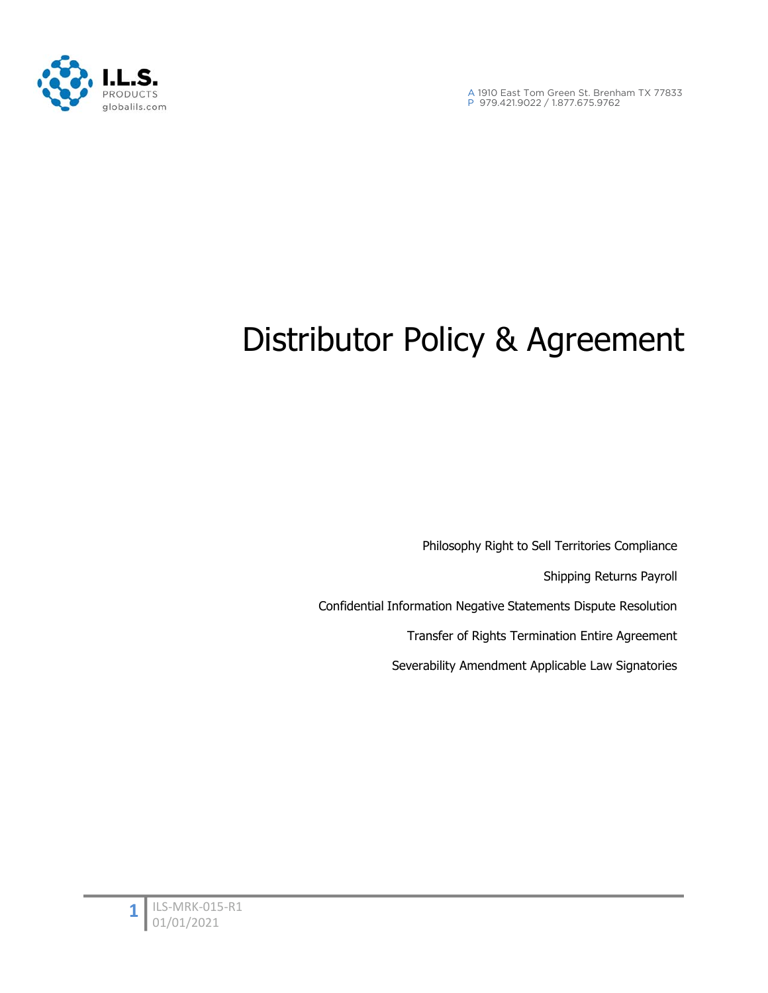

A 1910 East Tom Green St. Brenham TX 77833 P 979.421.9022 / 1.877.675.9762

# Distributor Policy & Agreement

Philosophy Right to Sell Territories Compliance Shipping Returns Payroll Confidential Information Negative Statements Dispute Resolution Transfer of Rights Termination Entire Agreement Severability Amendment Applicable Law Signatories

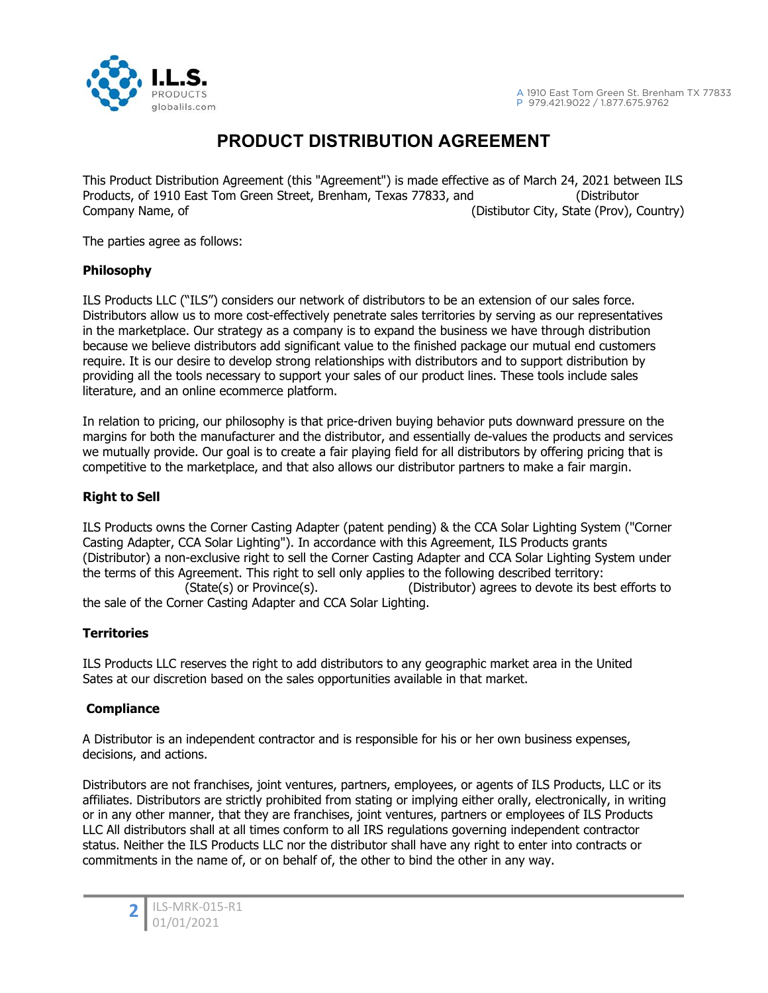

# **PRODUCT DISTRIBUTION AGREEMENT**

This Product Distribution Agreement (this "Agreement") is made effective as of March 24, 2021 between ILS Products, of 1910 East Tom Green Street, Brenham, Texas 77833, and (Distributor Company Name, of (Distibutor City, State (Prov), Country)

The parties agree as follows:

# **Philosophy**

ILS Products LLC ("ILS") considers our network of distributors to be an extension of our sales force. Distributors allow us to more cost-effectively penetrate sales territories by serving as our representatives in the marketplace. Our strategy as a company is to expand the business we have through distribution because we believe distributors add significant value to the finished package our mutual end customers require. It is our desire to develop strong relationships with distributors and to support distribution by providing all the tools necessary to support your sales of our product lines. These tools include sales literature, and an online ecommerce platform.

In relation to pricing, our philosophy is that price-driven buying behavior puts downward pressure on the margins for both the manufacturer and the distributor, and essentially de-values the products and services we mutually provide. Our goal is to create a fair playing field for all distributors by offering pricing that is competitive to the marketplace, and that also allows our distributor partners to make a fair margin.

# **Right to Sell**

ILS Products owns the Corner Casting Adapter (patent pending) & the CCA Solar Lighting System ("Corner Casting Adapter, CCA Solar Lighting"). In accordance with this Agreement, ILS Products grants (Distributor) a non-exclusive right to sell the Corner Casting Adapter and CCA Solar Lighting System under the terms of this Agreement. This right to sell only applies to the following described territory: (State(s) or Province(s). (Distributor) agrees to devote its best efforts to the sale of the Corner Casting Adapter and CCA Solar Lighting.

# **Territories**

ILS Products LLC reserves the right to add distributors to any geographic market area in the United Sates at our discretion based on the sales opportunities available in that market.

# **Compliance**

A Distributor is an independent contractor and is responsible for his or her own business expenses, decisions, and actions.

Distributors are not franchises, joint ventures, partners, employees, or agents of ILS Products, LLC or its affiliates. Distributors are strictly prohibited from stating or implying either orally, electronically, in writing or in any other manner, that they are franchises, joint ventures, partners or employees of ILS Products LLC All distributors shall at all times conform to all IRS regulations governing independent contractor status. Neither the ILS Products LLC nor the distributor shall have any right to enter into contracts or commitments in the name of, or on behalf of, the other to bind the other in any way.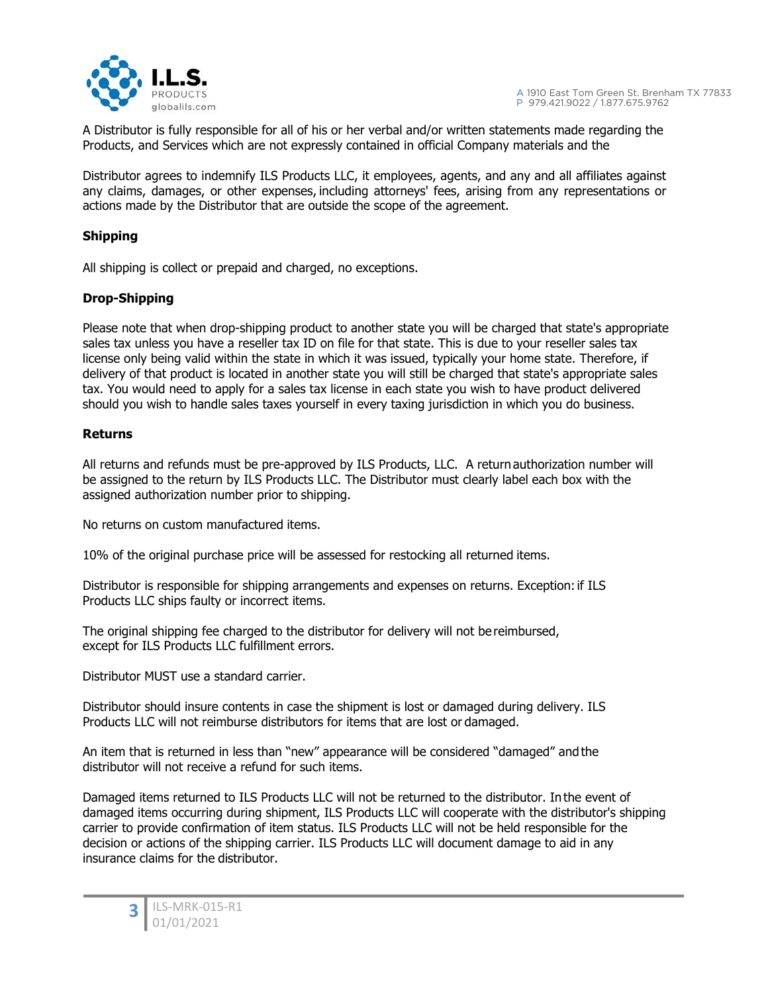

A Distributor is fully responsible for all of his or her verbal and/or written statements made regarding the Products, and Services which are not expressly contained in official Company materials and the

Distributor agrees to indemnify ILS Products LLC, it employees, agents, and any and all affiliates against any claims, damages, or other expenses, including attorneys' fees, arising from any representations or actions made by the Distributor that are outside the scope of the agreement.

# **Shipping**

All shipping is collect or prepaid and charged, no exceptions.

# **Drop-Shipping**

Please note that when drop-shipping product to another state you will be charged that state's appropriate sales tax unless you have a reseller tax ID on file for that state. This is due to your reseller sales tax license only being valid within the state in which it was issued, typically your home state. Therefore, if delivery of that product is located in another state you will still be charged that state's appropriate sales tax. You would need to apply for a sales tax license in each state you wish to have product delivered should you wish to handle sales taxes yourself in every taxing jurisdiction in which you do business.

# **Returns**

All returns and refunds must be pre-approved by ILS Products, LLC. A return authorization number will be assigned to the return by ILS Products LLC. The Distributor must clearly label each box with the assigned authorization number prior to shipping.

No returns on custom manufactured items.

10% of the original purchase price will be assessed for restocking all returned items.

Distributor is responsible for shipping arrangements and expenses on returns. Exception: if ILS Products LLC ships faulty or incorrect items.

The original shipping fee charged to the distributor for delivery will not be reimbursed, except for ILS Products LLC fulfillment errors.

Distributor MUST use a standard carrier.

Distributor should insure contents in case the shipment is lost or damaged during delivery. ILS Products LLC will not reimburse distributors for items that are lost or damaged.

An item that is returned in less than "new" appearance will be considered "damaged" and the distributor will not receive a refund for such items.

Damaged items returned to ILS Products LLC will not be returned to the distributor. In the event of damaged items occurring during shipment, ILS Products LLC will cooperate with the distributor's shipping carrier to provide confirmation of item status. ILS Products LLC will not be held responsible for the decision or actions of the shipping carrier. ILS Products LLC will document damage to aid in any insurance claims for the distributor.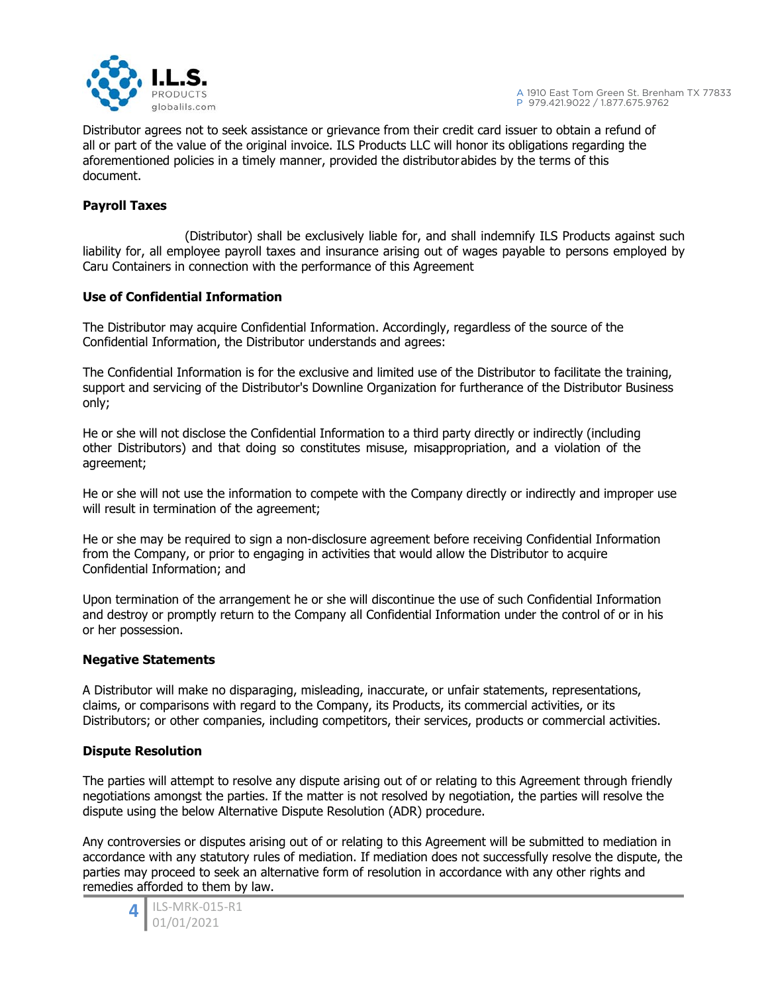

Distributor agrees not to seek assistance or grievance from their credit card issuer to obtain a refund of all or part of the value of the original invoice. ILS Products LLC will honor its obligations regarding the aforementioned policies in a timely manner, provided the distributor abides by the terms of this document.

# **Payroll Taxes**

 (Distributor) shall be exclusively liable for, and shall indemnify ILS Products against such liability for, all employee payroll taxes and insurance arising out of wages payable to persons employed by Caru Containers in connection with the performance of this Agreement

#### **Use of Confidential Information**

The Distributor may acquire Confidential Information. Accordingly, regardless of the source of the Confidential Information, the Distributor understands and agrees:

The Confidential Information is for the exclusive and limited use of the Distributor to facilitate the training, support and servicing of the Distributor's Downline Organization for furtherance of the Distributor Business only;

He or she will not disclose the Confidential Information to a third party directly or indirectly (including other Distributors) and that doing so constitutes misuse, misappropriation, and a violation of the agreement;

He or she will not use the information to compete with the Company directly or indirectly and improper use will result in termination of the agreement;

He or she may be required to sign a non-disclosure agreement before receiving Confidential Information from the Company, or prior to engaging in activities that would allow the Distributor to acquire Confidential Information; and

Upon termination of the arrangement he or she will discontinue the use of such Confidential Information and destroy or promptly return to the Company all Confidential Information under the control of or in his or her possession.

#### **Negative Statements**

A Distributor will make no disparaging, misleading, inaccurate, or unfair statements, representations, claims, or comparisons with regard to the Company, its Products, its commercial activities, or its Distributors; or other companies, including competitors, their services, products or commercial activities.

#### **Dispute Resolution**

The parties will attempt to resolve any dispute arising out of or relating to this Agreement through friendly negotiations amongst the parties. If the matter is not resolved by negotiation, the parties will resolve the dispute using the below Alternative Dispute Resolution (ADR) procedure.

Any controversies or disputes arising out of or relating to this Agreement will be submitted to mediation in accordance with any statutory rules of mediation. If mediation does not successfully resolve the dispute, the parties may proceed to seek an alternative form of resolution in accordance with any other rights and remedies afforded to them by law.